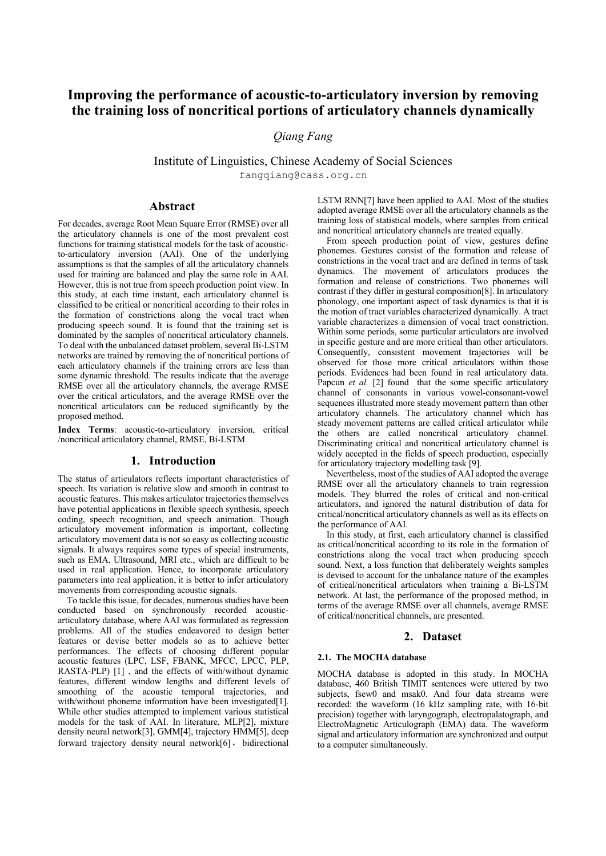# **Improving the performance of acoustic-to-articulatory inversion by removing the training loss of noncritical portions of articulatory channels dynamically**

# *Qiang Fang*

Institute of Linguistics, Chinese Academy of Social Sciences fangqiang@cass.org.cn

# **Abstract**

For decades, average Root Mean Square Error (RMSE) over all the articulatory channels is one of the most prevalent cost functions for training statistical models for the task of acousticto-articulatory inversion (AAI). One of the underlying assumptions is that the samples of all the articulatory channels used for training are balanced and play the same role in AAI. However, this is not true from speech production point view. In this study, at each time instant, each articulatory channel is classified to be critical or noncritical according to their roles in the formation of constrictions along the vocal tract when producing speech sound. It is found that the training set is dominated by the samples of noncritical articulatory channels. To deal with the unbalanced dataset problem, several Bi-LSTM networks are trained by removing the of noncritical portions of each articulatory channels if the training errors are less than some dynamic threshold. The results indicate that the average RMSE over all the articulatory channels, the average RMSE over the critical articulators, and the average RMSE over the noncritical articulators can be reduced significantly by the proposed method.

**Index Terms**: acoustic-to-articulatory inversion, critical /noncritical articulatory channel, RMSE, Bi-LSTM

#### **1. Introduction**

The status of articulators reflects important characteristics of speech. Its variation is relative slow and smooth in contrast to acoustic features. This makes articulator trajectories themselves have potential applications in flexible speech synthesis, speech coding, speech recognition, and speech animation. Though articulatory movement information is important, collecting articulatory movement data is not so easy as collecting acoustic signals. It always requires some types of special instruments, such as EMA, Ultrasound, MRI etc., which are difficult to be used in real application. Hence, to incorporate articulatory parameters into real application, it is better to infer articulatory movements from corresponding acoustic signals.

To tackle this issue, for decades, numerous studies have been conducted based on synchronously recorded acousticarticulatory database, where AAI was formulated as regression problems. All of the studies endeavored to design better features or devise better models so as to achieve better performances. The effects of choosing different popular acoustic features (LPC, LSF, FBANK, MFCC, LPCC, PLP, RASTA-PLP) [1] , and the effects of with/without dynamic features, different window lengths and different levels of smoothing of the acoustic temporal trajectories, and with/without phoneme information have been investigated[1]. While other studies attempted to implement various statistical models for the task of AAI. In literature, MLP[2], mixture density neural network[3], GMM[4], trajectory HMM[5], deep forward trajectory density neural network[6], bidirectional LSTM RNN[7] have been applied to AAI. Most of the studies adopted average RMSE over all the articulatory channels as the training loss of statistical models, where samples from critical and noncritical articulatory channels are treated equally.

From speech production point of view, gestures define phonemes. Gestures consist of the formation and release of constrictions in the vocal tract and are defined in terms of task dynamics. The movement of articulators produces the formation and release of constrictions. Two phonemes will contrast if they differ in gestural composition[8]. In articulatory phonology, one important aspect of task dynamics is that it is the motion of tract variables characterized dynamically. A tract variable characterizes a dimension of vocal tract constriction. Within some periods, some particular articulators are involved in specific gesture and are more critical than other articulators. Consequently, consistent movement trajectories will be observed for those more critical articulators within those periods. Evidences had been found in real articulatory data. Papcun *et al.* [2] found that the some specific articulatory channel of consonants in various vowel-consonant-vowel sequences illustrated more steady movement pattern than other articulatory channels. The articulatory channel which has steady movement patterns are called critical articulator while the others are called noncritical articulatory channel. Discriminating critical and noncritical articulatory channel is widely accepted in the fields of speech production, especially for articulatory trajectory modelling task [9].

Nevertheless, most of the studies of AAI adopted the average RMSE over all the articulatory channels to train regression models. They blurred the roles of critical and non-critical articulators, and ignored the natural distribution of data for critical/noncritical articulatory channels as well as its effects on the performance of AAI.

In this study, at first, each articulatory channel is classified as critical/noncritical according to its role in the formation of constrictions along the vocal tract when producing speech sound. Next, a loss function that deliberately weights samples is devised to account for the unbalance nature of the examples of critical/noncritical articulators when training a Bi-LSTM network. At last, the performance of the proposed method, in terms of the average RMSE over all channels, average RMSE of critical/noncritical channels, are presented.

### **2. Dataset**

#### **2.1. The MOCHA database**

MOCHA database is adopted in this study. In MOCHA database, 460 British TIMIT sentences were uttered by two subjects, fsew0 and msak0. And four data streams were recorded: the waveform (16 kHz sampling rate, with 16-bit precision) together with laryngograph, electropalatograph, and ElectroMagnetic Articulograph (EMA) data. The waveform signal and articulatory information are synchronized and output to a computer simultaneously.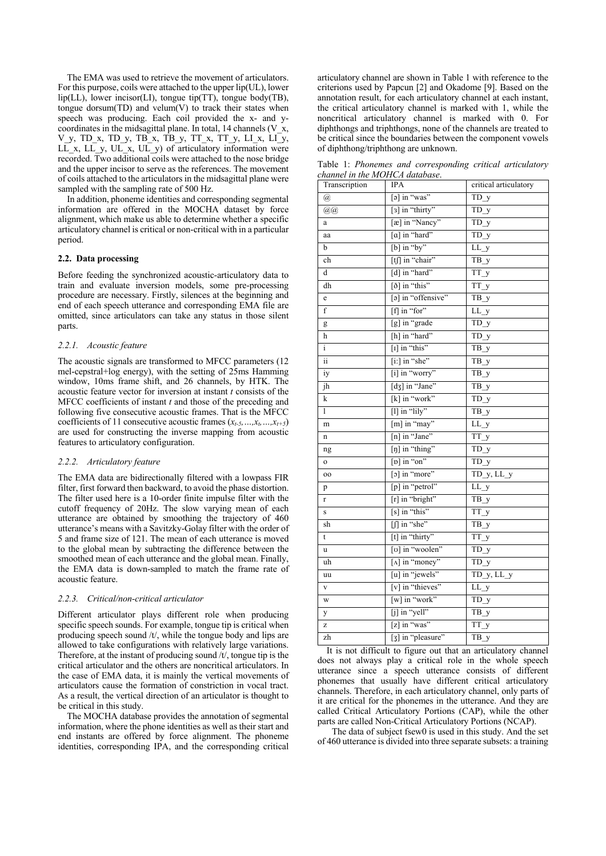The EMA was used to retrieve the movement of articulators. For this purpose, coils were attached to the upper lip(UL), lower lip(LL), lower incisor(LI), tongue tip(TT), tongue body(TB), tongue dorsum $(TD)$  and velum $(V)$  to track their states when speech was producing. Each coil provided the x- and ycoordinates in the midsagittal plane. In total, 14 channels (V $\bar{x}$ ,  $V_y$ , TD\_x, TD\_y, TB\_x, TB\_y, TT\_x, TT\_y, LI\_x, LI\_y, LL x, LL y, UL x, UL y) of articulatory information were recorded. Two additional coils were attached to the nose bridge and the upper incisor to serve as the references. The movement of coils attached to the articulators in the midsagittal plane were sampled with the sampling rate of 500 Hz.

In addition, phoneme identities and corresponding segmental information are offered in the MOCHA dataset by force alignment, which make us able to determine whether a specific articulatory channel is critical or non-critical with in a particular period.

#### **2.2. Data processing**

Before feeding the synchronized acoustic-articulatory data to train and evaluate inversion models, some pre-processing procedure are necessary. Firstly, silences at the beginning and end of each speech utterance and corresponding EMA file are omitted, since articulators can take any status in those silent parts.

#### *2.2.1. Acoustic feature*

The acoustic signals are transformed to MFCC parameters (12 mel-cepstral+log energy), with the setting of 25ms Hamming window, 10ms frame shift, and 26 channels, by HTK. The acoustic feature vector for inversion at instant *t* consists of the MFCC coefficients of instant *t* and those of the preceding and following five consecutive acoustic frames. That is the MFCC coefficients of 11 consecutive acoustic frames  $(x_{t-5},...,x_t,...,x_{t+5})$ are used for constructing the inverse mapping from acoustic features to articulatory configuration.

#### *2.2.2. Articulatory feature*

The EMA data are bidirectionally filtered with a lowpass FIR filter, first forward then backward, to avoid the phase distortion. The filter used here is a 10-order finite impulse filter with the cutoff frequency of 20Hz. The slow varying mean of each utterance are obtained by smoothing the trajectory of 460 utterance's means with a Savitzky-Golay filter with the order of 5 and frame size of 121. The mean of each utterance is moved to the global mean by subtracting the difference between the smoothed mean of each utterance and the global mean. Finally, the EMA data is down-sampled to match the frame rate of acoustic feature.

#### *2.2.3. Critical/non-critical articulator*

Different articulator plays different role when producing specific speech sounds. For example, tongue tip is critical when producing speech sound /t/, while the tongue body and lips are allowed to take configurations with relatively large variations. Therefore, at the instant of producing sound /t/, tongue tip is the critical articulator and the others are noncritical articulators. In the case of EMA data, it is mainly the vertical movements of articulators cause the formation of constriction in vocal tract. As a result, the vertical direction of an articulator is thought to be critical in this study.

The MOCHA database provides the annotation of segmental information, where the phone identities as well as their start and end instants are offered by force alignment. The phoneme identities, corresponding IPA, and the corresponding critical

articulatory channel are shown in Table 1 with reference to the criterions used by Papcun [2] and Okadome [9]. Based on the annotation result, for each articulatory channel at each instant, the critical articulatory channel is marked with 1, while the noncritical articulatory channel is marked with 0. For diphthongs and triphthongs, none of the channels are treated to be critical since the boundaries between the component vowels of diphthong/triphthong are unknown.

Table 1: *Phonemes and corresponding critical articulatory channel in the MOHCA database*.

| Transcription                  | IPA                          | critical articulatory          |
|--------------------------------|------------------------------|--------------------------------|
| $\left(\overline{a}\right)$    | [a] in "was"                 | $TD_y$                         |
| @@                             | [3] in "thirty"              | $\overline{TD_y}$              |
| a                              | [æ] in "Nancy"               | $TD_y$                         |
| aa                             | [a] in "hard"                | $TD_y$                         |
| b                              | $[b]$ in "by"                | $LL_y$                         |
| ch                             | [tʃ] in "chair"              | $\overline{TB}y$               |
| d                              | [d] in "hard"                | $TT_y$                         |
| dh                             | [ $\delta$ ] in "this"       | $TT_y$                         |
| e                              | [a] in "offensive"           | $\overline{TB}y$               |
| f                              | [f] in "for"                 | $\overline{\text{LL}}$ y       |
| g                              | [g] in "grade                | $\overline{TD}$ y              |
| h                              | [h] in "hard"                | $\overline{\text{TD}}\text{y}$ |
| $\overline{i}$                 | [I] in "this"                | $\overline{TB}y$               |
| $\overline{\ddot{\textbf{i}}}$ | [i:] in "she"                | $\overline{TB_y}$              |
| iy                             | [i] in "worry"               | $\overline{TB_y}$              |
| jh                             | $[d\overline{3}]$ in "Jane"  | $\overline{TB}y$               |
| k                              | [k] in "work"                | $\overline{TD}$ y              |
| $\overline{1}$                 | [1] in "lily"                | TB_y                           |
| m                              | [m] in "may"                 | $LL_y$                         |
| n                              | [n] in "Jane"                | $TT_y$                         |
| ng                             | [ŋ] in "thing"               | $TD_y$                         |
| $\mathbf{o}$                   | $[p]$ in "on"                | $TD_y$                         |
| oo                             | [o] in "more"                | $TD_y, LL_y$                   |
| p                              | [p] in "petrol"              | $LL_y$                         |
| r                              | [r] in "bright"              | $\overline{TB}$ y              |
| S                              | [s] in "this"                | TT_y                           |
| sh                             | $\left[\int\right]$ in "she" | $\overline{TB_y}$              |
| t                              | [t] in "thirty"              | TT_y                           |
| u                              | [v] in "woolen"              | $TD_y$                         |
| uh                             | [ $\Lambda$ ] in "money"     | TD_y                           |
| uu                             | [u] in "jewels"              | $TD_y, LL_y$                   |
| $\mathbf{V}$                   | [v] in "thieves"             | $LL_y$                         |
| W                              | [w] in "work"                | $TD_y$                         |
| y                              | [j] in "yell"                | $TB_y$                         |
| Z                              | [z] in "was"                 | TT_y                           |
| zh                             | [3] in "pleasure"            | $\overline{TB}$ y              |

It is not difficult to figure out that an articulatory channel does not always play a critical role in the whole speech utterance since a speech utterance consists of different phonemes that usually have different critical articulatory channels. Therefore, in each articulatory channel, only parts of it are critical for the phonemes in the utterance. And they are called Critical Articulatory Portions (CAP), while the other parts are called Non-Critical Articulatory Portions (NCAP).

The data of subject fsew0 is used in this study. And the set of 460 utterance is divided into three separate subsets: a training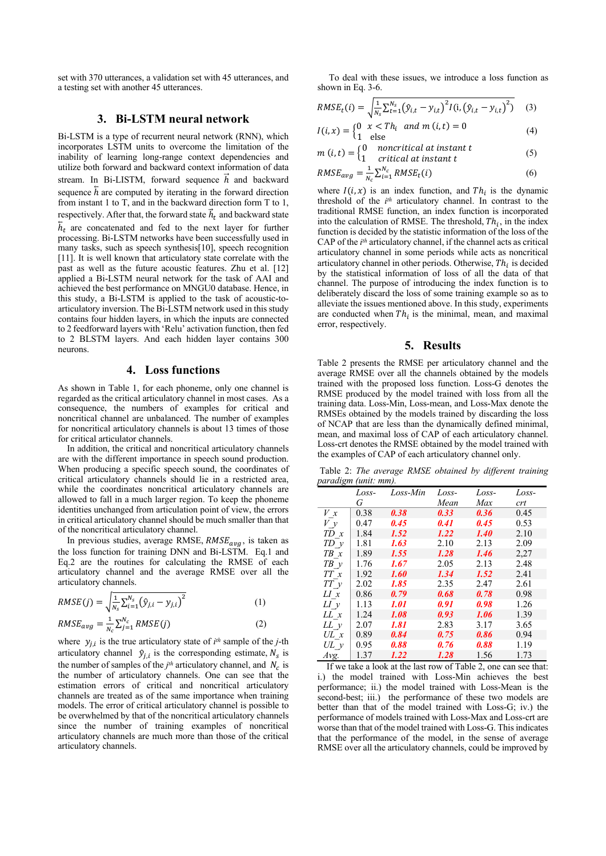set with 370 utterances, a validation set with 45 utterances, and a testing set with another 45 utterances.

# **3. Bi-LSTM neural network**

Bi-LSTM is a type of recurrent neural network (RNN), which incorporates LSTM units to overcome the limitation of the inability of learning long-range context dependencies and utilize both forward and backward context information of data stream. In Bi-LISTM, forward sequence  $\vec{h}$  and backward sequence  $\bar{h}$  are computed by iterating in the forward direction from instant 1 to T, and in the backward direction form T to 1, respectively. After that, the forward state  $\vec{h}_t$  and backward state  $\overleftarrow{h}_t$  are concatenated and fed to the next layer for further processing. Bi-LSTM networks have been successfully used in many tasks, such as speech synthesis[10], speech recognition [11]. It is well known that articulatory state correlate with the past as well as the future acoustic features. Zhu et al. [12] applied a Bi-LSTM neural network for the task of AAI and achieved the best performance on MNGU0 database. Hence, in this study, a Bi-LSTM is applied to the task of acoustic-toarticulatory inversion. The Bi-LSTM network used in this study contains four hidden layers, in which the inputs are connected to 2 feedforward layers with 'Relu' activation function, then fed to 2 BLSTM layers. And each hidden layer contains 300 neurons.

#### **4. Loss functions**

As shown in Table 1, for each phoneme, only one channel is regarded as the critical articulatory channel in most cases. As a consequence, the numbers of examples for critical and noncritical channel are unbalanced. The number of examples for noncritical articulatory channels is about 13 times of those for critical articulator channels.

In addition, the critical and noncritical articulatory channels are with the different importance in speech sound production. When producing a specific speech sound, the coordinates of critical articulatory channels should lie in a restricted area, while the coordinates noncritical articulatory channels are allowed to fall in a much larger region. To keep the phoneme identities unchanged from articulation point of view, the errors in critical articulatory channel should be much smaller than that of the noncritical articulatory channel.

In previous studies, average RMSE,  $RMSE_{ava}$ , is taken as the loss function for training DNN and Bi-LSTM. Eq.1 and Eq.2 are the routines for calculating the RMSE of each articulatory channel and the average RMSE over all the articulatory channels.

$$
RMSE(j) = \sqrt{\frac{1}{N_s} \sum_{i=1}^{N_s} (\hat{y}_{j,i} - y_{j,i})^2}
$$
 (1)

$$
RMSE_{avg} = \frac{1}{N_c} \sum_{j=1}^{N_c} RMSE(j)
$$
 (2)

where  $y_{i,i}$  is the true articulatory state of  $i^{th}$  sample of the *j*-th articulatory channel  $\hat{y}_{j,i}$  is the corresponding estimate,  $N_s$  is the number of samples of the  $j<sup>th</sup>$  articulatory channel, and  $N_c$  is the number of articulatory channels. One can see that the estimation errors of critical and noncritical articulatory channels are treated as of the same importance when training models. The error of critical articulatory channel is possible to be overwhelmed by that of the noncritical articulatory channels since the number of training examples of noncritical articulatory channels are much more than those of the critical articulatory channels.

 To deal with these issues, we introduce a loss function as shown in Eq. 3-6.

$$
RMSE_t(i) = \sqrt{\frac{1}{N_s} \sum_{t=1}^{N_s} (\hat{y}_{i,t} - y_{i,t})^2 I(i, (\hat{y}_{i,t} - y_{i,t})^2)}
$$
(3)

$$
I(i, x) =\begin{cases} 0 & x < in_i \\ 1 & \text{else} \end{cases}
$$
 (4)

$$
m(i, t) = \begin{cases} 0 & noncritical at instant t \\ 1 & critical at instant t \end{cases}
$$
 (5)

$$
RMSE_{avg} = \frac{1}{N_c} \sum_{i=1}^{N_c} RMSE_t(i)
$$
 (6)

where  $I(i, x)$  is an index function, and  $Th_i$  is the dynamic threshold of the *ith* articulatory channel. In contrast to the traditional RMSE function, an index function is incorporated into the calculation of RMSE. The threshold,  $Th_i$ , in the index function is decided by the statistic information of the loss of the CAP of the *ith* articulatory channel, if the channel acts as critical articulatory channel in some periods while acts as noncritical articulatory channel in other periods. Otherwise,  $Th_i$  is decided by the statistical information of loss of all the data of that channel. The purpose of introducing the index function is to deliberately discard the loss of some training example so as to alleviate the issues mentioned above. In this study, experiments are conducted when  $Th_i$  is the minimal, mean, and maximal error, respectively.

# **5. Results**

Table 2 presents the RMSE per articulatory channel and the average RMSE over all the channels obtained by the models trained with the proposed loss function. Loss-G denotes the RMSE produced by the model trained with loss from all the training data. Loss-Min, Loss-mean, and Loss-Max denote the RMSEs obtained by the models trained by discarding the loss of NCAP that are less than the dynamically defined minimal, mean, and maximal loss of CAP of each articulatory channel. Loss-crt denotes the RMSE obtained by the model trained with the examples of CAP of each articulatory channel only.

Table 2: *The average RMSE obtained by different training paradigm (unit: mm).*

| $\tilde{}$  | Loss- | Loss-Min           | Loss- | Loss-       | Loss- |
|-------------|-------|--------------------|-------|-------------|-------|
|             | G     |                    | Mean  | Max         | crt   |
| V x         | 0.38  | 0.38               | 0.33  | 0.36        | 0.45  |
| V y         | 0.47  | 0.45               | 0.41  | 0.45        | 0.53  |
| $TD \ x$    | 1.84  | 1.52               | 1.22  | <b>1.40</b> | 2.10  |
| $TD_y$      | 1.81  | 1.63               | 2.10  | 2.13        | 2.09  |
| $TB \times$ | 1.89  | 1.55               | 1.28  | 1.46        | 2,27  |
| $TB \, \nu$ | 1.76  | 1.67               | 2.05  | 2.13        | 2.48  |
| TT x        | 1.92  | 1.60               | 1.34  | 1.52        | 2.41  |
| $TT$ $y$    | 2.02  | 1.85               | 2.35  | 2.47        | 2.61  |
| LI x        | 0.86  | 0.79               | 0.68  | 0.78        | 0.98  |
| $LI$ y      | 1.13  | <i><b>1.01</b></i> | 0.91  | 0.98        | 1.26  |
| $LL\ x$     | 1.24  | 1.08               | 0.93  | 1.06        | 1.39  |
| $LL$ y      | 2.07  | 1.81               | 2.83  | 3.17        | 3.65  |
| $UL\ x$     | 0.89  | 0.84               | 0.75  | 0.86        | 0.94  |
| $UL$ v      | 0.95  | 0.88               | 0.76  | 0.88        | 1.19  |
| Avg.        | 1.37  | 1.22               | 1.28  | 1.56        | 1.73  |

If we take a look at the last row of Table 2, one can see that: i.) the model trained with Loss-Min achieves the best performance; ii.) the model trained with Loss-Mean is the second-best; iii.) the performance of these two models are better than that of the model trained with Loss-G; iv.) the performance of models trained with Loss-Max and Loss-crt are worse than that of the model trained with Loss-G. This indicates that the performance of the model, in the sense of average RMSE over all the articulatory channels, could be improved by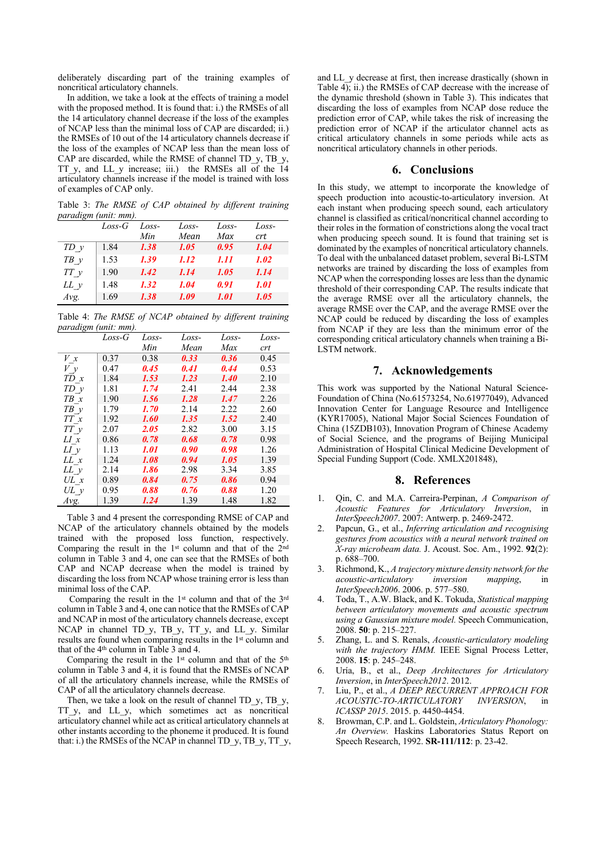deliberately discarding part of the training examples of noncritical articulatory channels.

In addition, we take a look at the effects of training a model with the proposed method. It is found that: i.) the RMSEs of all the 14 articulatory channel decrease if the loss of the examples of NCAP less than the minimal loss of CAP are discarded; ii.) the RMSEs of 10 out of the 14 articulatory channels decrease if the loss of the examples of NCAP less than the mean loss of CAP are discarded, while the RMSE of channel TD\_y, TB\_y, TT y, and LL y increase; iii.) the RMSEs all of the 14 articulatory channels increase if the model is trained with loss of examples of CAP only.

Table 3: *The RMSE of CAP obtained by different training paradigm (unit: mm).* 

|             | $Loss-G$ | Loss- | Loss- | Loss- | Loss-              |
|-------------|----------|-------|-------|-------|--------------------|
|             |          | Min   | Mean  | Max   | <i>crt</i>         |
| $TD$ y      | 1.84     | 1.38  | 1.05  | 0.95  | 1.04               |
| $TB \, \nu$ | 1.53     | 1.39  | 1.12  | 1.11  | 1.02               |
| $TT$ y      | 1.90     | 1.42  | 1.14  | 1.05  | 1.14               |
| $LL$ y      | 1.48     | 1.32  | 1.04  | 0.91  | <i><b>1.01</b></i> |
| Avg.        | 1.69     | 1.38  | 1.09  | 1.01  | 1.05               |

Table 4: *The RMSE of NCAP obtained by different training paradigm (unit: mm).*

|                                                     | $Loss - G$ | Loss- | Loss- | Loss-       | Loss- |
|-----------------------------------------------------|------------|-------|-------|-------------|-------|
|                                                     |            | Min   | Mean  | Max         | crt   |
| $V_{x}$                                             | 0.37       | 0.38  | 0.33  | 0.36        | 0.45  |
| V y                                                 | 0.47       | 0.45  | 0.41  | 0.44        | 0.53  |
| TD x                                                | 1.84       | 1.53  | 1.23  | <b>1.40</b> | 2.10  |
| $TD$ $\nu$                                          | 1.81       | 1.74  | 2.41  | 2.44        | 2.38  |
| $TB \times$                                         | 1.90       | 1.56  | 1.28  | 1.47        | 2.26  |
| $TB$ $\nu$                                          | 1.79       | 1.70  | 2.14  | 2.22        | 2.60  |
| $T\hspace{-0.1cm}T\hspace{-0.1cm}T\hspace{-0.1cm}x$ | 1.92       | 1.60  | 1.35  | 1.52        | 2.40  |
| TTy                                                 | 2.07       | 2.05  | 2.82  | 3.00        | 3.15  |
| LI x                                                | 0.86       | 0.78  | 0.68  | 0.78        | 0.98  |
| $LI$ y                                              | 1.13       | 1.01  | 0.90  | 0.98        | 1.26  |
| $LL \; x$                                           | 1.24       | 1.08  | 0.94  | 1.05        | 1.39  |
| LL y                                                | 2.14       | 1.86  | 2.98  | 3.34        | 3.85  |
| $UL \, x$                                           | 0.89       | 0.84  | 0.75  | 0.86        | 0.94  |
| $UL$ y                                              | 0.95       | 0.88  | 0.76  | 0.88        | 1.20  |
| Avg.                                                | 1.39       | 1.24  | 1.39  | 1.48        | 1.82  |

Table 3 and 4 present the corresponding RMSE of CAP and NCAP of the articulatory channels obtained by the models trained with the proposed loss function, respectively. Comparing the result in the 1st column and that of the 2nd column in Table 3 and 4, one can see that the RMSEs of both CAP and NCAP decrease when the model is trained by discarding the loss from NCAP whose training error is less than minimal loss of the CAP.

Comparing the result in the 1st column and that of the 3rd column in Table 3 and 4, one can notice that the RMSEs of CAP and NCAP in most of the articulatory channels decrease, except NCAP in channel TD y, TB y, TT y, and LL y. Similar results are found when comparing results in the 1<sup>st</sup> column and that of the 4th column in Table 3 and 4.

Comparing the result in the 1<sup>st</sup> column and that of the 5<sup>th</sup> column in Table 3 and 4, it is found that the RMSEs of NCAP of all the articulatory channels increase, while the RMSEs of CAP of all the articulatory channels decrease.

Then, we take a look on the result of channel TD\_y, TB\_y, TT<sub>y</sub>, and LL<sub>y</sub>, which sometimes act as noncritical articulatory channel while act as critical articulatory channels at other instants according to the phoneme it produced. It is found that: i.) the RMSEs of the NCAP in channel TD\_y, TB\_y, TT\_y, and LL\_y decrease at first, then increase drastically (shown in Table 4); ii.) the RMSEs of CAP decrease with the increase of the dynamic threshold (shown in Table 3). This indicates that discarding the loss of examples from NCAP dose reduce the prediction error of CAP, while takes the risk of increasing the prediction error of NCAP if the articulator channel acts as critical articulatory channels in some periods while acts as noncritical articulatory channels in other periods.

## **6. Conclusions**

In this study, we attempt to incorporate the knowledge of speech production into acoustic-to-articulatory inversion. At each instant when producing speech sound, each articulatory channel is classified as critical/noncritical channel according to their roles in the formation of constrictions along the vocal tract when producing speech sound. It is found that training set is dominated by the examples of noncritical articulatory channels. To deal with the unbalanced dataset problem, several Bi-LSTM networks are trained by discarding the loss of examples from NCAP when the corresponding losses are less than the dynamic threshold of their corresponding CAP. The results indicate that the average RMSE over all the articulatory channels, the average RMSE over the CAP, and the average RMSE over the NCAP could be reduced by discarding the loss of examples from NCAP if they are less than the minimum error of the corresponding critical articulatory channels when training a Bi-LSTM network.

# **7. Acknowledgements**

This work was supported by the National Natural Science-Foundation of China (No.61573254, No.61977049), Advanced Innovation Center for Language Resource and Intelligence (KYR17005), National Major Social Sciences Foundation of China (15ZDB103), Innovation Program of Chinese Academy of Social Science, and the programs of Beijing Municipal Administration of Hospital Clinical Medicine Development of Special Funding Support (Code. XMLX201848),

# **8. References**

- 1. Qin, C. and M.A. Carreira-Perpinan, *A Comparison of Acoustic Features for Articulatory Inversion*, in *InterSpeech2007*. 2007: Antwerp. p. 2469-2472.
- 2. Papcun, G., et al., *Inferring articulation and recognising gestures from acoustics with a neural network trained on X-ray microbeam data.* J. Acoust. Soc. Am., 1992. **92**(2): p. 688–700.
- 3. Richmond, K., *A trajectory mixture density network for the acoustic-articulatory inversion mapping*, in *InterSpeech2006*. 2006. p. 577–580.
- 4. Toda, T., A.W. Black, and K. Tokuda, *Statistical mapping between articulatory movements and acoustic spectrum using a Gaussian mixture model.* Speech Communication, 2008. **50**: p. 215–227.
- 5. Zhang, L. and S. Renals, *Acoustic-articulatory modeling*  with the trajectory HMM. IEEE Signal Process Letter, 2008. **15**: p. 245–248.
- 6. Uría, B., et al., *Deep Architectures for Articulatory Inversion*, in *InterSpeech2012*. 2012.
- 7. Liu, P., et al., *A DEEP RECURRENT APPROACH FOR ACOUSTIC-TO-ARTICULATORY INVERSION, ICASSP 2015*. 2015. p. 4450-4454.
- 8. Browman, C.P. and L. Goldstein, *Articulatory Phonology: An Overview.* Haskins Laboratories Status Report on Speech Research, 1992. **SR-111/112**: p. 23-42.